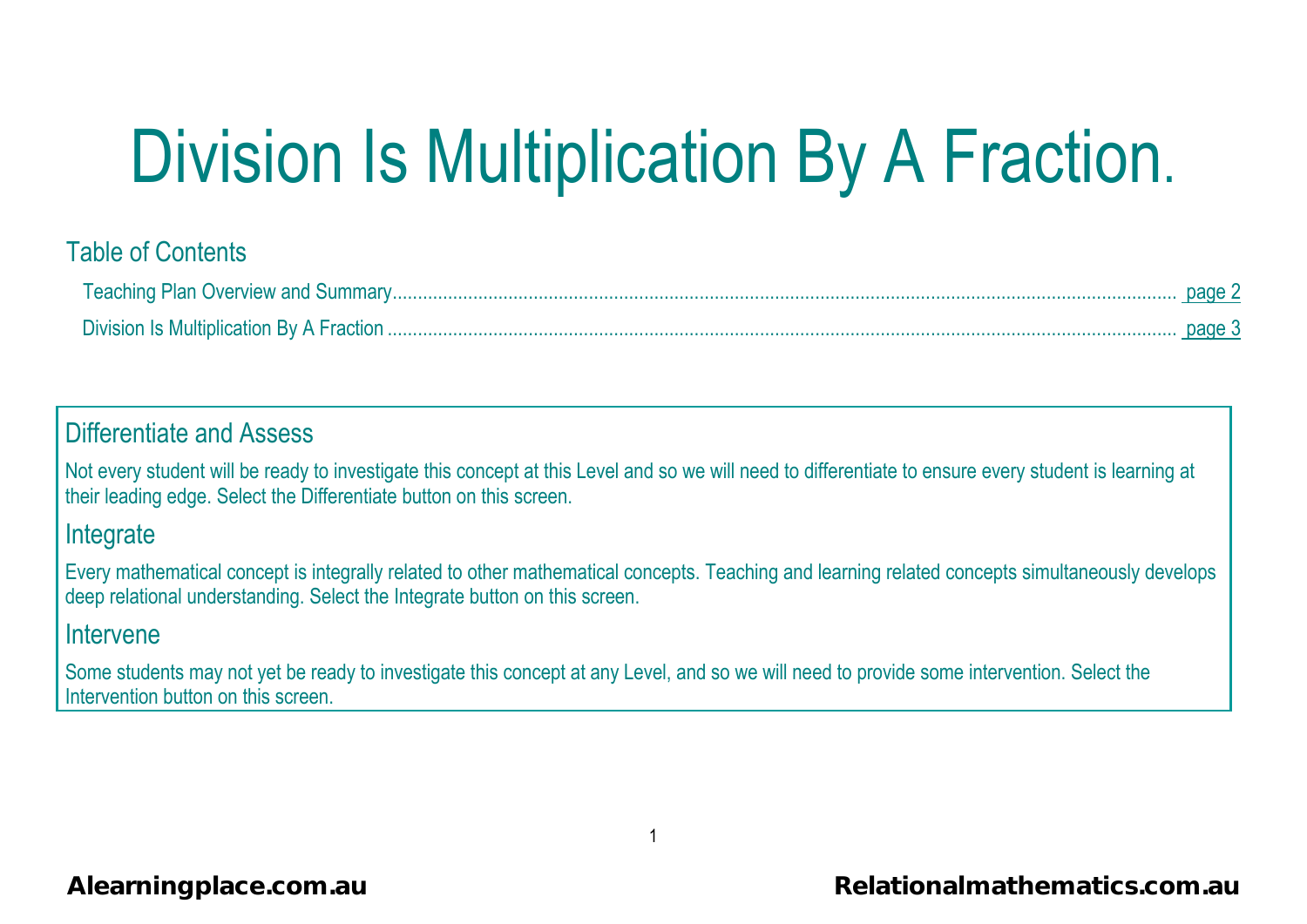# Division Is Multiplication By A Fraction.

# Table of Contents

|                                          | page 2 |
|------------------------------------------|--------|
| Division Is Multiplication By A Fraction |        |

# Differentiate and Assess

Not every student will be ready to investigate this concept at this Level and so we will need to differentiate to ensure every student is learning at their leading edge. Select the Differentiate button on this screen.

### **Integrate**

Every mathematical concept is integrally related to other mathematical concepts. Teaching and learning related concepts simultaneously develops deep relational understanding. Select the Integrate button on this screen.

## Intervene

Some students may not yet be ready to investigate this concept at any Level, and so we will need to provide some intervention. Select the Intervention button on this screen.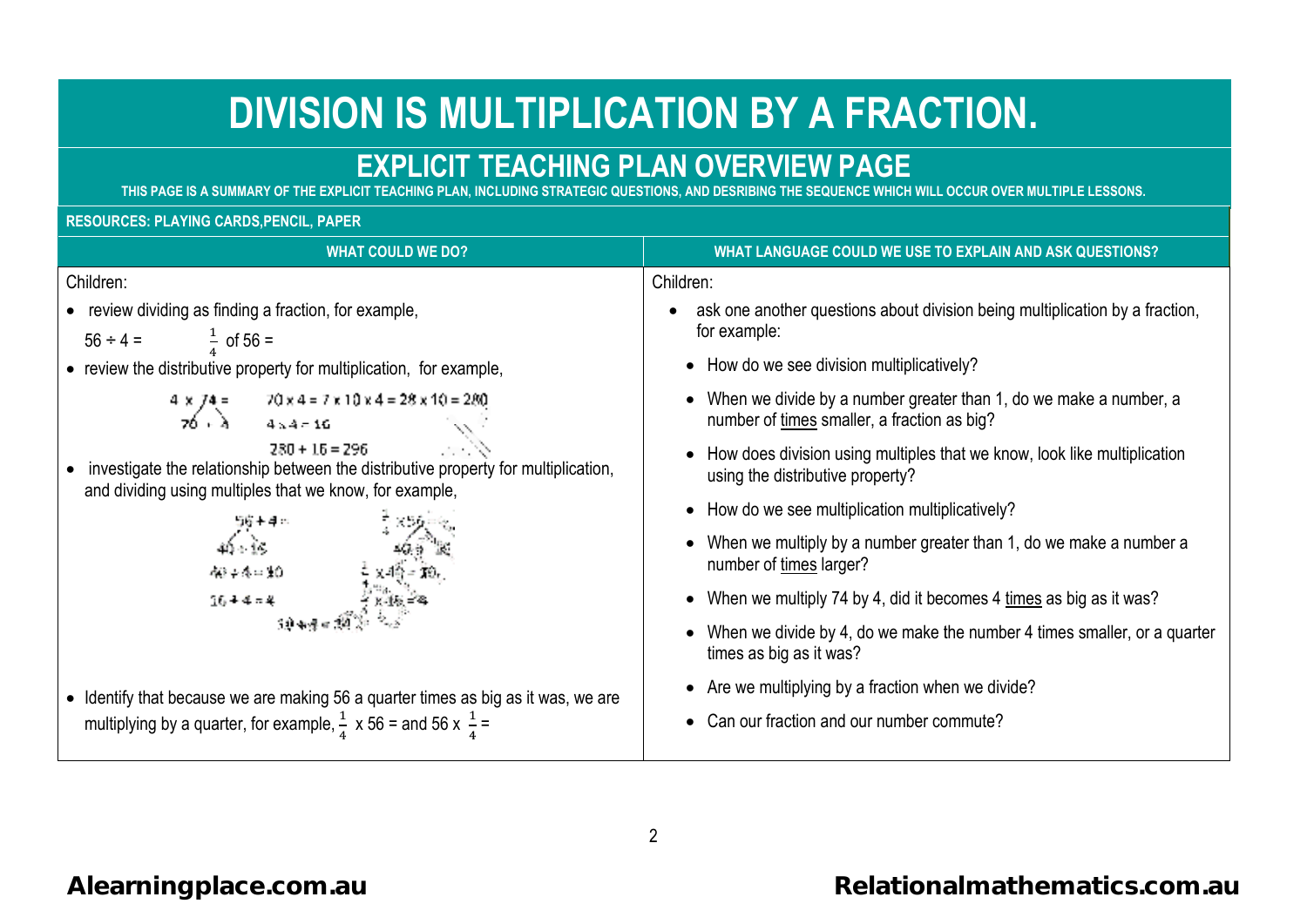# **DIVISION IS MULTIPLICATION BY A FRACTIONDIVISION IS BY FRACTION.**

# **EXPLICIT TEACHING PLAN OVERVIEW PAGEPLAN**

**THIS PAGE IS A SUMMARY OF THE EXPLICIT TEACHING PLAN, INCLUDING STRATEGIC QUESTIONS, AND DESRIBING THE SEQUENCE WHICH WILL OCCUR OVER MULTIPLE LESSONS.STRATEGIC SEQUENCE WHICH WILL** 

#### **RESOURCES: PLAYING CARDS,PENCIL, PAPER**

| <b>WHAT COULD WE DO?</b>                                                                                                                                          | WHAT LANGUAGE COULD WE USE TO EXPLAIN AND ASK QUESTIONS?                                                         |
|-------------------------------------------------------------------------------------------------------------------------------------------------------------------|------------------------------------------------------------------------------------------------------------------|
| Children:                                                                                                                                                         | Children:                                                                                                        |
| • review dividing as finding a fraction, for example,<br>$\frac{1}{4}$ of 56 =<br>$56 \div 4 =$                                                                   | ask one another questions about division being multiplication by a fraction,<br>for example:                     |
| • review the distributive property for multiplication, for example,                                                                                               | • How do we see division multiplicatively?                                                                       |
| $70 \times 4 = 7 \times 10 \times 4 = 28 \times 10 = 280$<br>$\frac{4 \times 74}{70 + \lambda}$<br>$4 \times 4 = 16$                                              | When we divide by a number greater than 1, do we make a number, a<br>number of times smaller, a fraction as big? |
| $280 + 15 = 296$<br>investigate the relationship between the distributive property for multiplication,<br>and dividing using multiples that we know, for example, | How does division using multiples that we know, look like multiplication<br>using the distributive property?     |
|                                                                                                                                                                   | • How do we see multiplication multiplicatively?                                                                 |
| 400-0-0-00                                                                                                                                                        | When we multiply by a number greater than 1, do we make a number a<br>number of times larger?                    |
| $16 + 4 = 4$                                                                                                                                                      | • When we multiply 74 by 4, did it becomes 4 times as big as it was?                                             |
|                                                                                                                                                                   | When we divide by 4, do we make the number 4 times smaller, or a quarter<br>times as big as it was?              |
| • Identify that because we are making 56 a quarter times as big as it was, we are                                                                                 | • Are we multiplying by a fraction when we divide?                                                               |
| multiplying by a quarter, for example, $\frac{1}{4}$ x 56 = and 56 x $\frac{1}{4}$ =                                                                              | Can our fraction and our number commute?                                                                         |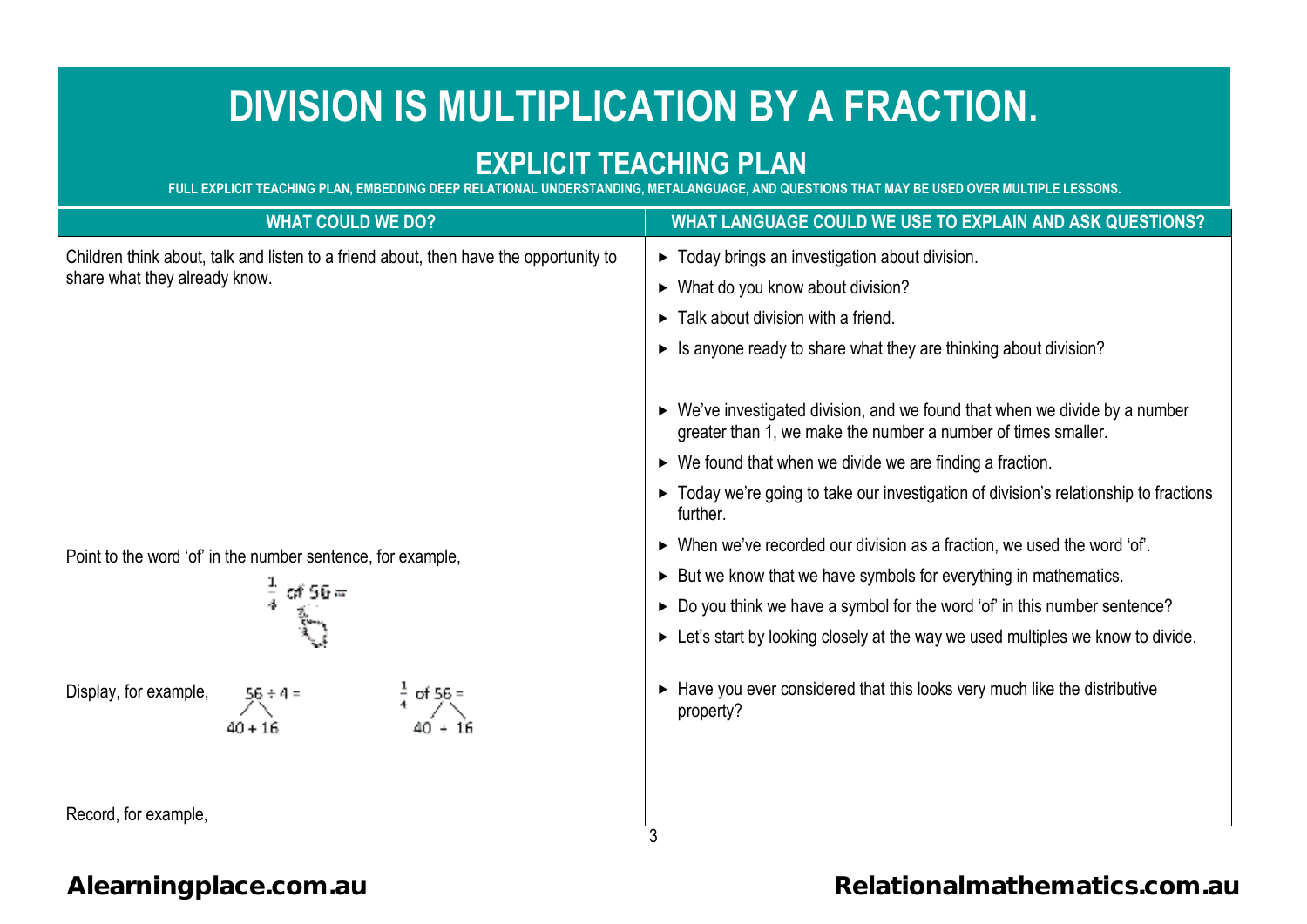# **DIVISION IS MULTIPLICATION BY A FRACTIONFRACTIONFRACTION.**

# **EXPLICIT TEACHING PLAN**

FULL EXPLICIT TEACHING PLAN, EMBEDDING DEEP RELATIONAL UNDERSTANDING, METALANGUAGE, AND QUESTIONS THAT MAY BE USED OVER MULTIPLE LESSONS.

| <b>WHAT COULD WE DO?</b>                                                                                                                                                                                                                                        | WHAT LANGUAGE COULD WE USE TO EXPLAIN AND ASK QUESTIONS?                                                                                                                                                                                                                                                                                                                                                                                                                                                                                                                                                                                                                                                                                                                                                                                                                                                                                                                                                            |
|-----------------------------------------------------------------------------------------------------------------------------------------------------------------------------------------------------------------------------------------------------------------|---------------------------------------------------------------------------------------------------------------------------------------------------------------------------------------------------------------------------------------------------------------------------------------------------------------------------------------------------------------------------------------------------------------------------------------------------------------------------------------------------------------------------------------------------------------------------------------------------------------------------------------------------------------------------------------------------------------------------------------------------------------------------------------------------------------------------------------------------------------------------------------------------------------------------------------------------------------------------------------------------------------------|
| Children think about, talk and listen to a friend about, then have the opportunity to<br>share what they already know.<br>Point to the word 'of' in the number sentence, for example,<br>೧೯ 56 =<br>Display, for example,<br>$\frac{1}{2}$ of 56 =<br>$40 + 16$ | > Today brings an investigation about division.<br>$\triangleright$ What do you know about division?<br>$\triangleright$ Talk about division with a friend.<br>► Is anyone ready to share what they are thinking about division?<br>$\triangleright$ We've investigated division, and we found that when we divide by a number<br>greater than 1, we make the number a number of times smaller.<br>$\triangleright$ We found that when we divide we are finding a fraction.<br>► Today we're going to take our investigation of division's relationship to fractions<br>further.<br>$\triangleright$ When we've recorded our division as a fraction, we used the word 'of'.<br>► But we know that we have symbols for everything in mathematics.<br>► Do you think we have a symbol for the word 'of' in this number sentence?<br>Example 1 Let's start by looking closely at the way we used multiples we know to divide.<br>Have you ever considered that this looks very much like the distributive<br>property? |
| Record, for example,                                                                                                                                                                                                                                            | 3                                                                                                                                                                                                                                                                                                                                                                                                                                                                                                                                                                                                                                                                                                                                                                                                                                                                                                                                                                                                                   |

## **[Alearningplace.com.au](https://alearningplace.com.au/)**

# **[Relationalmathematics.com.au](https://relationalmathematics.com.au/)**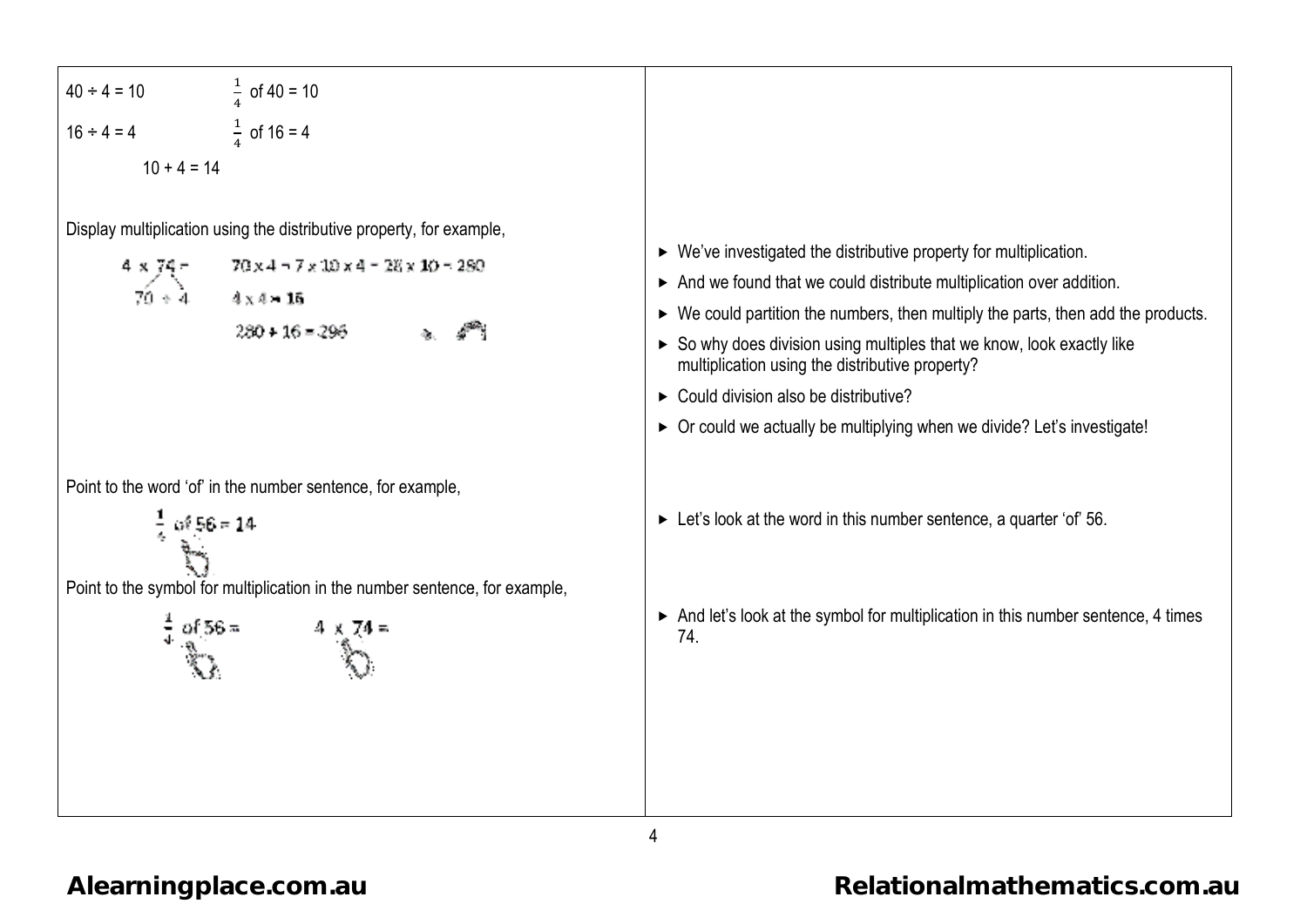| \n $4x + 10$<br>\n $16 + 4 = 4$<br>\n $10 + 4 = 14$ \n |
|--------------------------------------------------------|
| \n $16 + 4 = 4$<br>\n $10 + 4 = 14$ \n                 |
| \n $16 + 4 = 4$<br>\n $10 + 4 = 14$ \n                 |
| \n $16 + 4 = 4$<br>\n $16 + 4 = 4$ \n                  |
| \n $16 + 4 = 4$<br>\n $16 + 4 = 14$ \n                 |
| \n $16 + 4 = 4$<br>\n $16 + 4 = 14$ \n                 |
| \n $16 + 4 = 14$<br>\n $16 + 4 = 14$ \n                |
| \n $16 + 4 = 14$<br>\n $16 + 4 = 14$ \n                |
| \n $16 + 4 = 14$<br>\n $16 + 4 = 14$ \n                |
| \n $16 + 4 = 14$<br>\n $16 + 4 = 14$ \n                |
| \n $16 + 4 = 14$<br>\n $16 + 4 = 14$ \n                |
| \n $16 + 4 = 14$<br>\n $16 + 4 = 14$ \n                |
| \n $16 + 4 = 14$<br>\n $16 + 4 = 14$ \n                |
| \n $16 + 4 = 14$<br>\n $16 + 4 = 14$ \n                |
| \n $16 + 4 = 14$<br>\n $16 + 4 = 14$ \n                |
| \n $16 + 4 = 14$<br>\n $16 +$                          |

4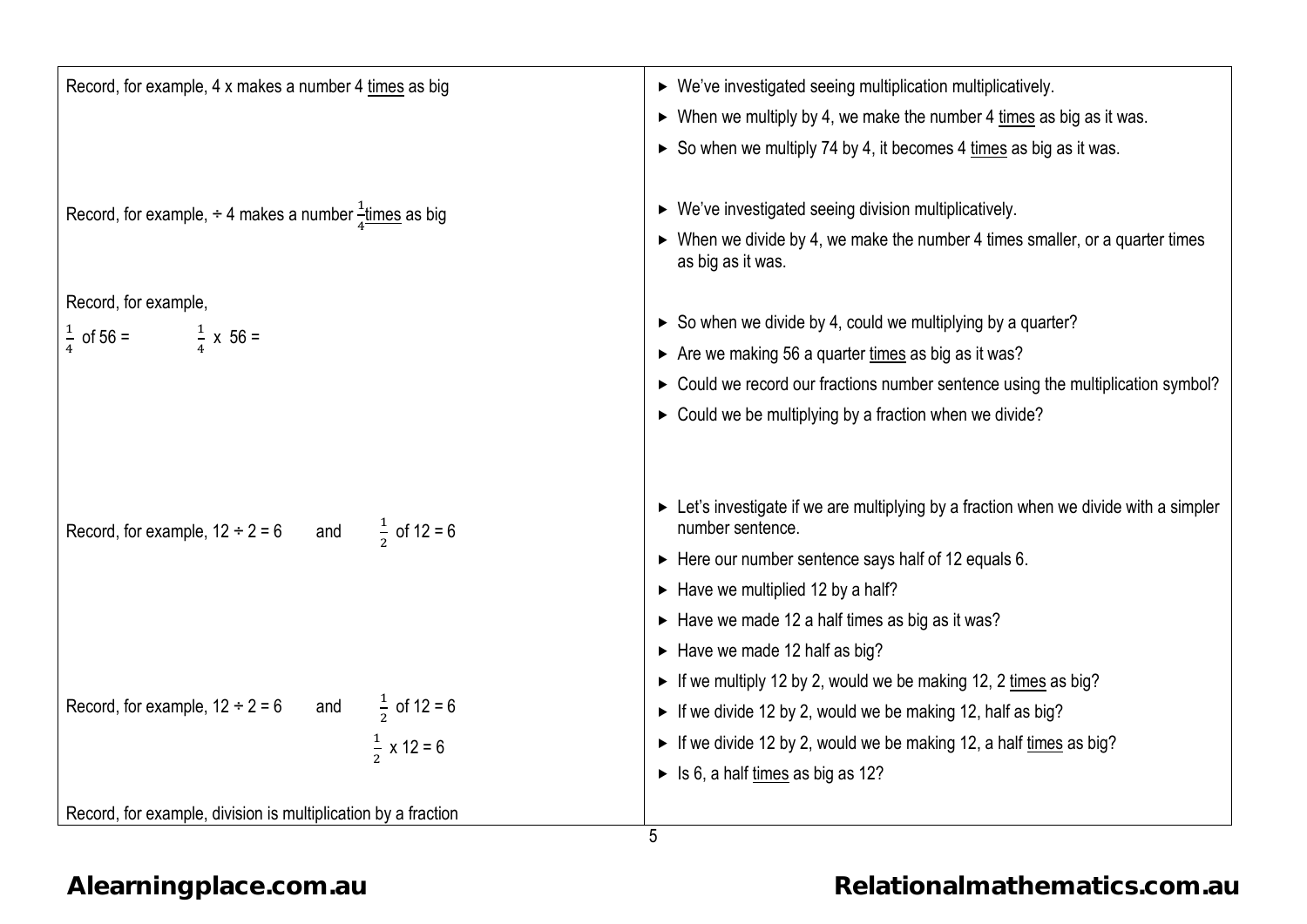| Record, for example, 4 x makes a number 4 times as big                  | ▶ We've investigated seeing multiplication multiplicatively.                                                      |
|-------------------------------------------------------------------------|-------------------------------------------------------------------------------------------------------------------|
|                                                                         | $\triangleright$ When we multiply by 4, we make the number 4 times as big as it was.                              |
|                                                                         | So when we multiply 74 by 4, it becomes 4 times as big as it was.                                                 |
|                                                                         |                                                                                                                   |
| Record, for example, $\div$ 4 makes a number $\frac{1}{4}$ times as big | ▶ We've investigated seeing division multiplicatively.                                                            |
|                                                                         | $\triangleright$ When we divide by 4, we make the number 4 times smaller, or a quarter times<br>as big as it was. |
| Record, for example,                                                    |                                                                                                                   |
| $\frac{1}{4}$ of 56 = $\frac{1}{4}$ x 56 =                              | $\triangleright$ So when we divide by 4, could we multiplying by a quarter?                                       |
|                                                                         | Are we making 56 a quarter times as big as it was?                                                                |
|                                                                         | > Could we record our fractions number sentence using the multiplication symbol?                                  |
|                                                                         | > Could we be multiplying by a fraction when we divide?                                                           |
|                                                                         |                                                                                                                   |
| Record, for example, $12 \div 2 = 6$ and $\frac{1}{2}$ of $12 = 6$      | Exampler Let's investigate if we are multiplying by a fraction when we divide with a simpler<br>number sentence.  |
|                                                                         | $\triangleright$ Here our number sentence says half of 12 equals 6.                                               |
|                                                                         | $\blacktriangleright$ Have we multiplied 12 by a half?                                                            |
|                                                                         | $\triangleright$ Have we made 12 a half times as big as it was?                                                   |
|                                                                         | $\blacktriangleright$ Have we made 12 half as big?                                                                |
|                                                                         | • If we multiply 12 by 2, would we be making 12, 2 times as big?                                                  |
| Record, for example, $12 \div 2 = 6$ and $\frac{1}{2}$ of $12 = 6$      | If we divide 12 by 2, would we be making 12, half as big?                                                         |
| $\frac{1}{2}$ x 12 = 6                                                  | • If we divide 12 by 2, would we be making 12, a half times as big?                                               |
|                                                                         | $\triangleright$ Is 6, a half times as big as 12?                                                                 |
| Record, for example, division is multiplication by a fraction           |                                                                                                                   |
|                                                                         | 5                                                                                                                 |

**[Alearningplace.com.au](https://alearningplace.com.au/)**

# **[Relationalmathematics.com.au](https://relationalmathematics.com.au/)**